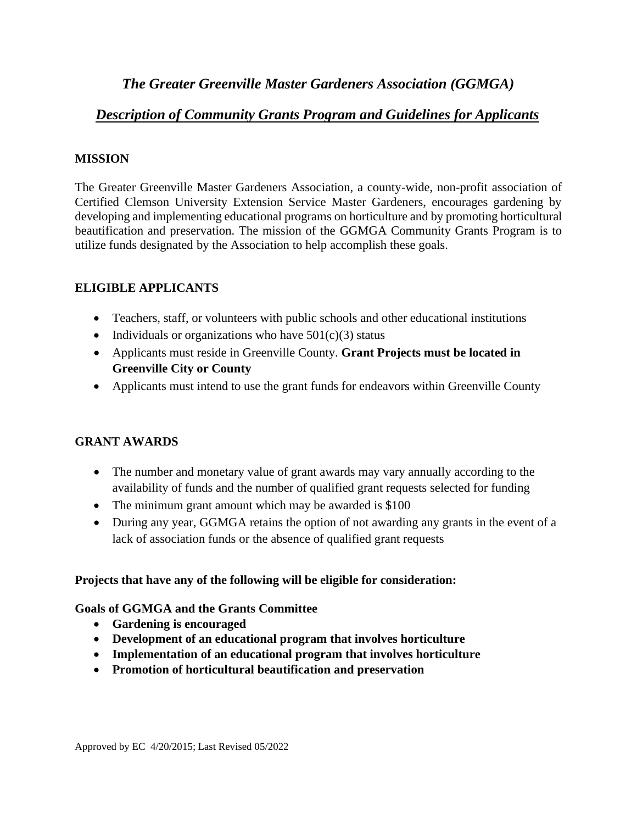# *The Greater Greenville Master Gardeners Association (GGMGA)*

# *Description of Community Grants Program and Guidelines for Applicants*

### **MISSION**

The Greater Greenville Master Gardeners Association, a county-wide, non-profit association of Certified Clemson University Extension Service Master Gardeners, encourages gardening by developing and implementing educational programs on horticulture and by promoting horticultural beautification and preservation. The mission of the GGMGA Community Grants Program is to utilize funds designated by the Association to help accomplish these goals.

### **ELIGIBLE APPLICANTS**

- Teachers, staff, or volunteers with public schools and other educational institutions
- Individuals or organizations who have  $501(c)(3)$  status
- Applicants must reside in Greenville County. **Grant Projects must be located in Greenville City or County**
- Applicants must intend to use the grant funds for endeavors within Greenville County

## **GRANT AWARDS**

- The number and monetary value of grant awards may vary annually according to the availability of funds and the number of qualified grant requests selected for funding
- The minimum grant amount which may be awarded is \$100
- During any year, GGMGA retains the option of not awarding any grants in the event of a lack of association funds or the absence of qualified grant requests

### **Projects that have any of the following will be eligible for consideration:**

### **Goals of GGMGA and the Grants Committee**

- **Gardening is encouraged**
- **Development of an educational program that involves horticulture**
- **Implementation of an educational program that involves horticulture**
- **Promotion of horticultural beautification and preservation**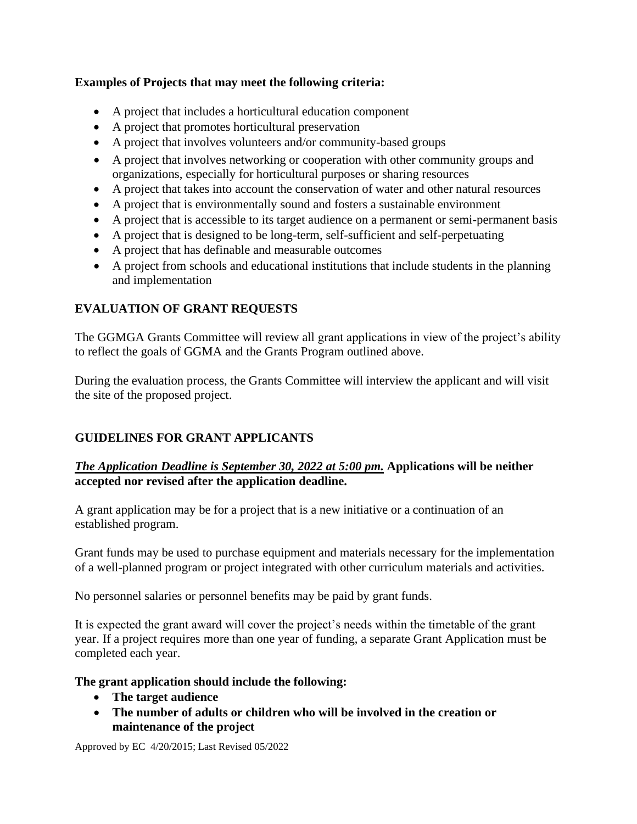### **Examples of Projects that may meet the following criteria:**

- A project that includes a horticultural education component
- A project that promotes horticultural preservation
- A project that involves volunteers and/or community-based groups
- A project that involves networking or cooperation with other community groups and organizations, especially for horticultural purposes or sharing resources
- A project that takes into account the conservation of water and other natural resources
- A project that is environmentally sound and fosters a sustainable environment
- A project that is accessible to its target audience on a permanent or semi-permanent basis
- A project that is designed to be long-term, self-sufficient and self-perpetuating
- A project that has definable and measurable outcomes
- A project from schools and educational institutions that include students in the planning and implementation

# **EVALUATION OF GRANT REQUESTS**

The GGMGA Grants Committee will review all grant applications in view of the project's ability to reflect the goals of GGMA and the Grants Program outlined above.

During the evaluation process, the Grants Committee will interview the applicant and will visit the site of the proposed project.

## **GUIDELINES FOR GRANT APPLICANTS**

### *The Application Deadline is September 30, 2022 at 5:00 pm.* **Applications will be neither accepted nor revised after the application deadline.**

A grant application may be for a project that is a new initiative or a continuation of an established program.

Grant funds may be used to purchase equipment and materials necessary for the implementation of a well-planned program or project integrated with other curriculum materials and activities.

No personnel salaries or personnel benefits may be paid by grant funds.

It is expected the grant award will cover the project's needs within the timetable of the grant year. If a project requires more than one year of funding, a separate Grant Application must be completed each year.

### **The grant application should include the following:**

- **The target audience**
- **The number of adults or children who will be involved in the creation or maintenance of the project**

Approved by EC 4/20/2015; Last Revised 05/2022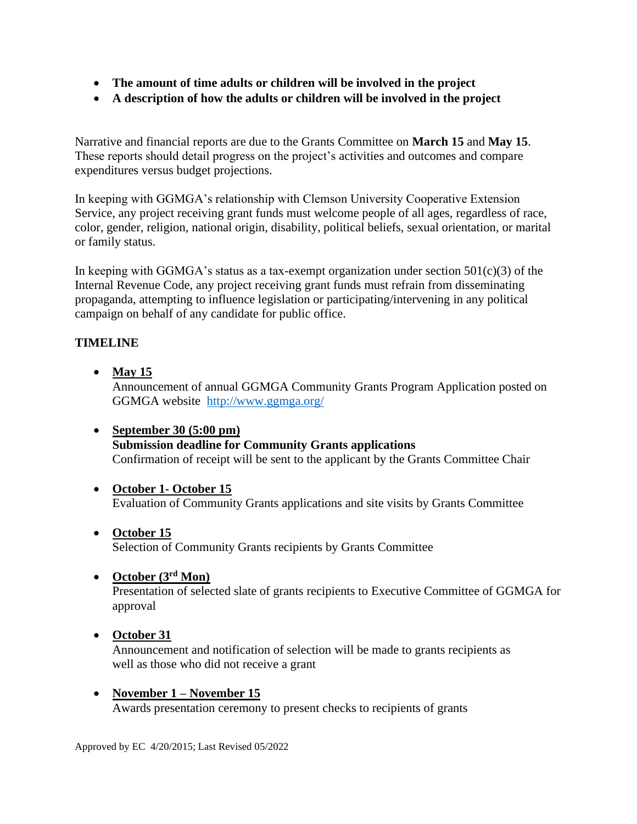- **The amount of time adults or children will be involved in the project**
- **A description of how the adults or children will be involved in the project**

Narrative and financial reports are due to the Grants Committee on **March 15** and **May 15**. These reports should detail progress on the project's activities and outcomes and compare expenditures versus budget projections.

In keeping with GGMGA's relationship with Clemson University Cooperative Extension Service, any project receiving grant funds must welcome people of all ages, regardless of race, color, gender, religion, national origin, disability, political beliefs, sexual orientation, or marital or family status.

In keeping with GGMGA's status as a tax-exempt organization under section  $501(c)(3)$  of the Internal Revenue Code, any project receiving grant funds must refrain from disseminating propaganda, attempting to influence legislation or participating/intervening in any political campaign on behalf of any candidate for public office.

## **TIMELINE**

- **May 15** Announcement of annual GGMGA Community Grants Program Application posted on GGMGA website <http://www.ggmga.org/>
- **September 30 (5:00 pm) Submission deadline for Community Grants applications** Confirmation of receipt will be sent to the applicant by the Grants Committee Chair
- **October 1- October 15** Evaluation of Community Grants applications and site visits by Grants Committee
- **October 15** Selection of Community Grants recipients by Grants Committee

### • **October (3rd Mon)**

Presentation of selected slate of grants recipients to Executive Committee of GGMGA for approval

### • **October 31**

Announcement and notification of selection will be made to grants recipients as well as those who did not receive a grant

• **November 1 – November 15** Awards presentation ceremony to present checks to recipients of grants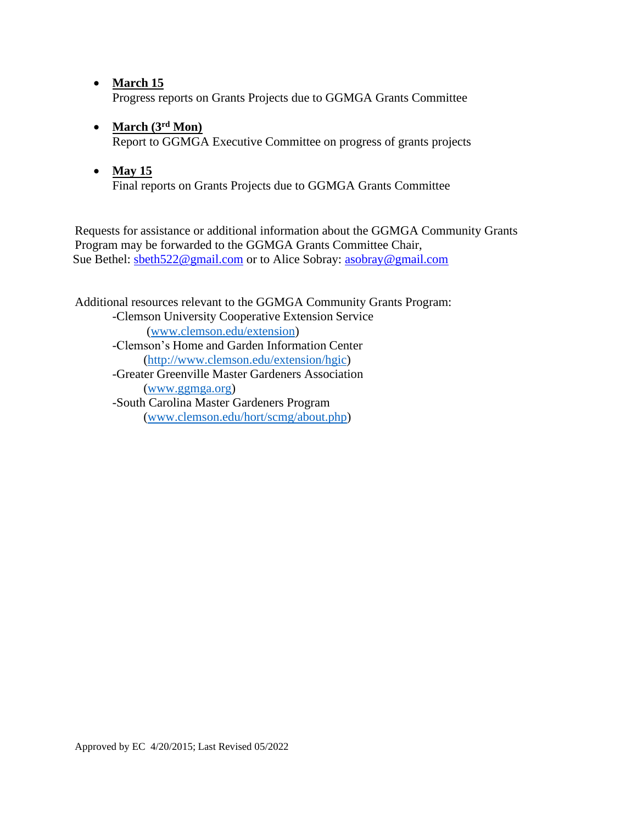- **March 15** Progress reports on Grants Projects due to GGMGA Grants Committee
- **March (3rd Mon)**

Report to GGMGA Executive Committee on progress of grants projects

• **May 15** Final reports on Grants Projects due to GGMGA Grants Committee

Requests for assistance or additional information about the GGMGA Community Grants Program may be forwarded to the GGMGA Grants Committee Chair, Sue Bethel: [sbeth522@gmail.com](mailto:sbeth522@gmail.com) or to Alice Sobray: [asobray@gmail.com](mailto:asobray@gmail.com)

Additional resources relevant to the GGMGA Community Grants Program: -Clemson University Cooperative Extension Service [\(www.clemson.edu/extension\)](http://www.clemson.edu/extension) -Clemson's Home and Garden Information Center [\(http://www.clemson.edu/extension/hgic\)](http://www.clemson.edu/extension/hgic) -Greater Greenville Master Gardeners Association [\(www.ggmga.org\)](http://www.ggmga.org/) -South Carolina Master Gardeners Program [\(www.clemson.edu/hort/scmg/about.php\)](http://www.clemson.edu/hort/scmg/about.php)